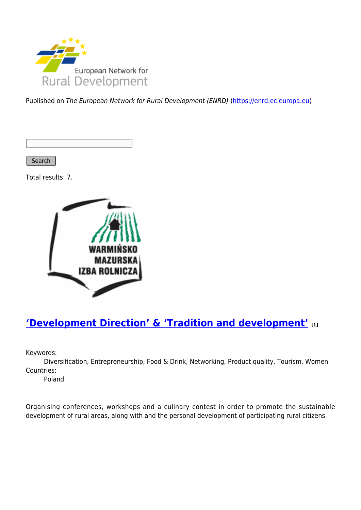

Published on The European Network for Rural Development (ENRD) [\(https://enrd.ec.europa.eu](https://enrd.ec.europa.eu))

Search

Total results: 7.



## **['Development Direction' & 'Tradition and development'](https://enrd.ec.europa.eu/projects-practice/development-direction-tradition-and-development_en) [1]**

Keywords:

Diversification, Entrepreneurship, Food & Drink, Networking, Product quality, Tourism, Women Countries:

Poland

Organising conferences, workshops and a culinary contest in order to promote the sustainable development of rural areas, along with and the personal development of participating rural citizens.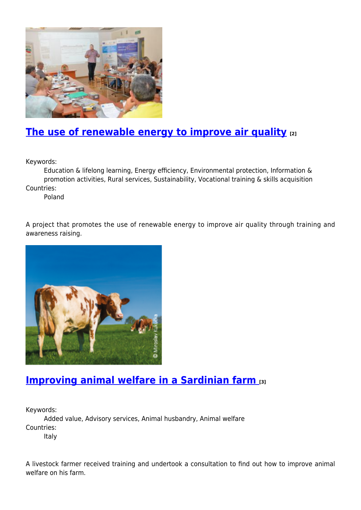

## **[The use of renewable energy to improve air quality](https://enrd.ec.europa.eu/projects-practice/use-renewable-energy-improve-air-quality_en) [2]**

Keywords:

Education & lifelong learning, Energy efficiency, Environmental protection, Information & promotion activities, Rural services, Sustainability, Vocational training & skills acquisition Countries:

Poland

A project that promotes the use of renewable energy to improve air quality through training and awareness raising.



#### **[Improving animal welfare in a Sardinian farm](https://enrd.ec.europa.eu/projects-practice/improving-animal-welfare-sardinian-farm_en) [3]**

Keywords:

Added value, Advisory services, Animal husbandry, Animal welfare Countries:

Italy

A livestock farmer received training and undertook a consultation to find out how to improve animal welfare on his farm.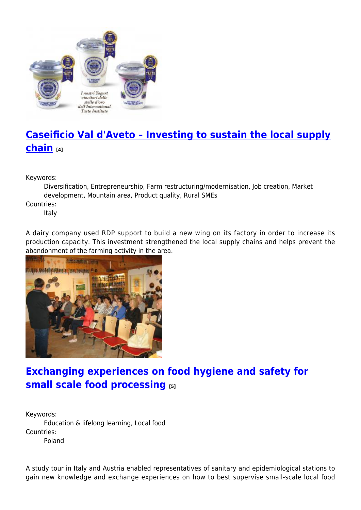

# **[Caseificio Val d'Aveto – Investing to sustain the local supply](https://enrd.ec.europa.eu/projects-practice/caseificio-val-daveto-investing-sustain-local-supply-chain_en) [chain](https://enrd.ec.europa.eu/projects-practice/caseificio-val-daveto-investing-sustain-local-supply-chain_en) [4]**

Keywords:

Diversification, Entrepreneurship, Farm restructuring/modernisation, Job creation, Market development, Mountain area, Product quality, Rural SMEs

Countries:

Italy

A dairy company used RDP support to build a new wing on its factory in order to increase its production capacity. This investment strengthened the local supply chains and helps prevent the abandonment of the farming activity in the area.



# **[Exchanging experiences on food hygiene and safety for](https://enrd.ec.europa.eu/projects-practice/exchanging-experiences-food-hygiene-and-safety-small-scale-food-processing_en) [small scale food processing](https://enrd.ec.europa.eu/projects-practice/exchanging-experiences-food-hygiene-and-safety-small-scale-food-processing_en)** [5]

Keywords: Education & lifelong learning, Local food Countries: Poland

A study tour in Italy and Austria enabled representatives of sanitary and epidemiological stations to gain new knowledge and exchange experiences on how to best supervise small-scale local food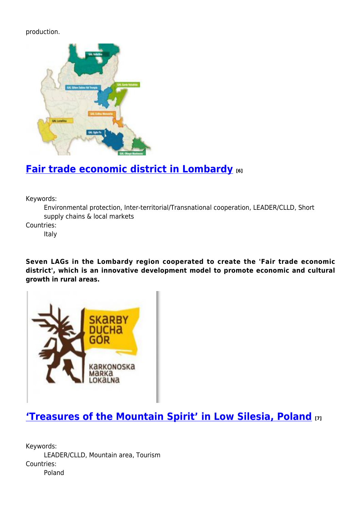#### production.



### **[Fair trade economic district in Lombardy](https://enrd.ec.europa.eu/projects-practice/fair-trade-economic-district-lombardy_en) [6]**

Keywords:

Environmental protection, Inter-territorial/Transnational cooperation, LEADER/CLLD, Short supply chains & local markets

Countries:

Italy

**Seven LAGs in the Lombardy region cooperated to create the 'Fair trade economic district', which is an innovative development model to promote economic and cultural growth in rural areas.**



## **['Treasures of the Mountain Spirit' in Low Silesia, Poland](https://enrd.ec.europa.eu/projects-practice/%E2%80%98treasures-mountain-spirit%E2%80%99-low-silesia-poland_en) [7]**

Keywords: LEADER/CLLD, Mountain area, Tourism Countries: Poland